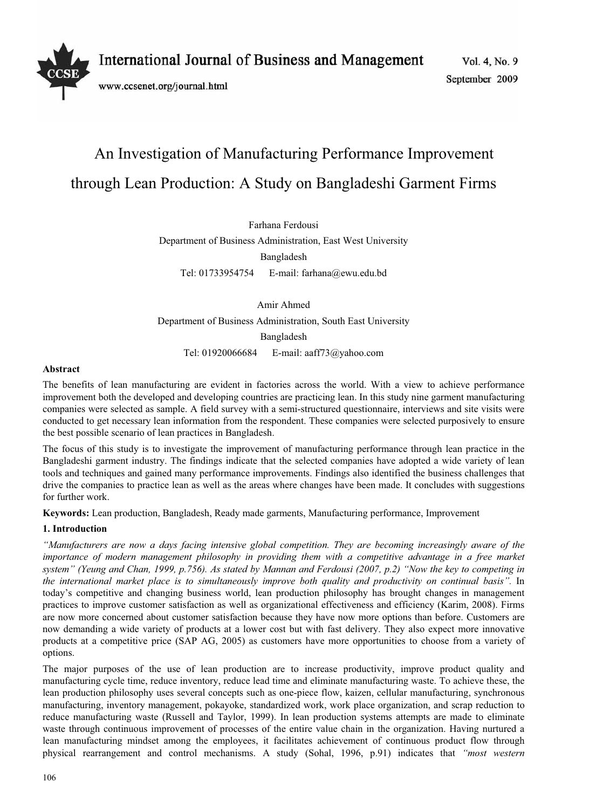

# An Investigation of Manufacturing Performance Improvement through Lean Production: A Study on Bangladeshi Garment Firms

Farhana Ferdousi

Department of Business Administration, East West University Bangladesh Tel: 01733954754 E-mail: farhana@ewu.edu.bd

Amir Ahmed Department of Business Administration, South East University Bangladesh Tel: 01920066684 E-mail: aaff73@yahoo.com

#### **Abstract**

The benefits of lean manufacturing are evident in factories across the world. With a view to achieve performance improvement both the developed and developing countries are practicing lean. In this study nine garment manufacturing companies were selected as sample. A field survey with a semi-structured questionnaire, interviews and site visits were conducted to get necessary lean information from the respondent. These companies were selected purposively to ensure the best possible scenario of lean practices in Bangladesh.

The focus of this study is to investigate the improvement of manufacturing performance through lean practice in the Bangladeshi garment industry. The findings indicate that the selected companies have adopted a wide variety of lean tools and techniques and gained many performance improvements. Findings also identified the business challenges that drive the companies to practice lean as well as the areas where changes have been made. It concludes with suggestions for further work.

**Keywords:** Lean production, Bangladesh, Ready made garments, Manufacturing performance, Improvement

#### **1. Introduction**

*"Manufacturers are now a days facing intensive global competition. They are becoming increasingly aware of the importance of modern management philosophy in providing them with a competitive advantage in a free market system" (Yeung and Chan, 1999, p.756). As stated by Mannan and Ferdousi (2007, p.2) "Now the key to competing in the international market place is to simultaneously improve both quality and productivity on continual basis".* In today's competitive and changing business world, lean production philosophy has brought changes in management practices to improve customer satisfaction as well as organizational effectiveness and efficiency (Karim, 2008). Firms are now more concerned about customer satisfaction because they have now more options than before. Customers are now demanding a wide variety of products at a lower cost but with fast delivery. They also expect more innovative products at a competitive price (SAP AG, 2005) as customers have more opportunities to choose from a variety of options.

The major purposes of the use of lean production are to increase productivity, improve product quality and manufacturing cycle time, reduce inventory, reduce lead time and eliminate manufacturing waste. To achieve these, the lean production philosophy uses several concepts such as one-piece flow, kaizen, cellular manufacturing, synchronous manufacturing, inventory management, pokayoke, standardized work, work place organization, and scrap reduction to reduce manufacturing waste (Russell and Taylor, 1999). In lean production systems attempts are made to eliminate waste through continuous improvement of processes of the entire value chain in the organization. Having nurtured a lean manufacturing mindset among the employees, it facilitates achievement of continuous product flow through physical rearrangement and control mechanisms. A study (Sohal, 1996, p.91) indicates that *"most western*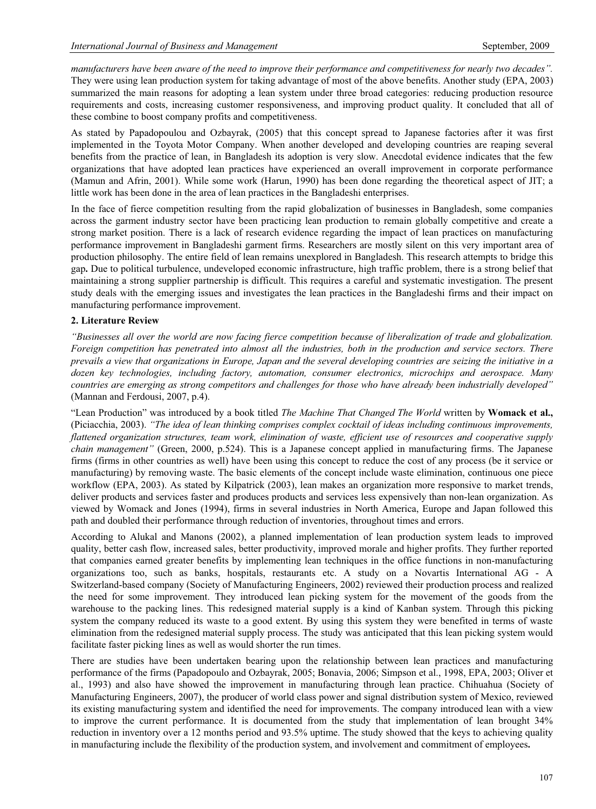*manufacturers have been aware of the need to improve their performance and competitiveness for nearly two decades".* They were using lean production system for taking advantage of most of the above benefits. Another study (EPA, 2003) summarized the main reasons for adopting a lean system under three broad categories: reducing production resource requirements and costs, increasing customer responsiveness, and improving product quality. It concluded that all of these combine to boost company profits and competitiveness.

As stated by Papadopoulou and Ozbayrak, (2005) that this concept spread to Japanese factories after it was first implemented in the Toyota Motor Company. When another developed and developing countries are reaping several benefits from the practice of lean, in Bangladesh its adoption is very slow. Anecdotal evidence indicates that the few organizations that have adopted lean practices have experienced an overall improvement in corporate performance (Mamun and Afrin, 2001). While some work (Harun, 1990) has been done regarding the theoretical aspect of JIT; a little work has been done in the area of lean practices in the Bangladeshi enterprises.

In the face of fierce competition resulting from the rapid globalization of businesses in Bangladesh, some companies across the garment industry sector have been practicing lean production to remain globally competitive and create a strong market position. There is a lack of research evidence regarding the impact of lean practices on manufacturing performance improvement in Bangladeshi garment firms. Researchers are mostly silent on this very important area of production philosophy. The entire field of lean remains unexplored in Bangladesh. This research attempts to bridge this gap**.** Due to political turbulence, undeveloped economic infrastructure, high traffic problem, there is a strong belief that maintaining a strong supplier partnership is difficult. This requires a careful and systematic investigation. The present study deals with the emerging issues and investigates the lean practices in the Bangladeshi firms and their impact on manufacturing performance improvement.

#### **2. Literature Review**

*"Businesses all over the world are now facing fierce competition because of liberalization of trade and globalization. Foreign competition has penetrated into almost all the industries, both in the production and service sectors. There prevails a view that organizations in Europe, Japan and the several developing countries are seizing the initiative in a dozen key technologies, including factory, automation, consumer electronics, microchips and aerospace. Many countries are emerging as strong competitors and challenges for those who have already been industrially developed"*  (Mannan and Ferdousi, 2007, p.4).

"Lean Production" was introduced by a book titled *The Machine That Changed The World* written by **Womack et al.,** (Piciacchia, 2003). *"The idea of lean thinking comprises complex cocktail of ideas including continuous improvements, flattened organization structures, team work, elimination of waste, efficient use of resources and cooperative supply chain management"* (Green, 2000, p.524). This is a Japanese concept applied in manufacturing firms. The Japanese firms (firms in other countries as well) have been using this concept to reduce the cost of any process (be it service or manufacturing) by removing waste. The basic elements of the concept include waste elimination, continuous one piece workflow (EPA, 2003). As stated by Kilpatrick (2003), lean makes an organization more responsive to market trends, deliver products and services faster and produces products and services less expensively than non-lean organization. As viewed by Womack and Jones (1994), firms in several industries in North America, Europe and Japan followed this path and doubled their performance through reduction of inventories, throughout times and errors.

According to Alukal and Manons (2002), a planned implementation of lean production system leads to improved quality, better cash flow, increased sales, better productivity, improved morale and higher profits. They further reported that companies earned greater benefits by implementing lean techniques in the office functions in non-manufacturing organizations too, such as banks, hospitals, restaurants etc. A study on a Novartis International AG - A Switzerland-based company (Society of Manufacturing Engineers, 2002) reviewed their production process and realized the need for some improvement. They introduced lean picking system for the movement of the goods from the warehouse to the packing lines. This redesigned material supply is a kind of Kanban system. Through this picking system the company reduced its waste to a good extent. By using this system they were benefited in terms of waste elimination from the redesigned material supply process. The study was anticipated that this lean picking system would facilitate faster picking lines as well as would shorter the run times.

There are studies have been undertaken bearing upon the relationship between lean practices and manufacturing performance of the firms (Papadopoulo and Ozbayrak, 2005; Bonavia, 2006; Simpson et al., 1998, EPA, 2003; Oliver et al., 1993) and also have showed the improvement in manufacturing through lean practice. Chihuahua (Society of Manufacturing Engineers, 2007), the producer of world class power and signal distribution system of Mexico, reviewed its existing manufacturing system and identified the need for improvements. The company introduced lean with a view to improve the current performance. It is documented from the study that implementation of lean brought 34% reduction in inventory over a 12 months period and 93.5% uptime. The study showed that the keys to achieving quality in manufacturing include the flexibility of the production system, and involvement and commitment of employees**.**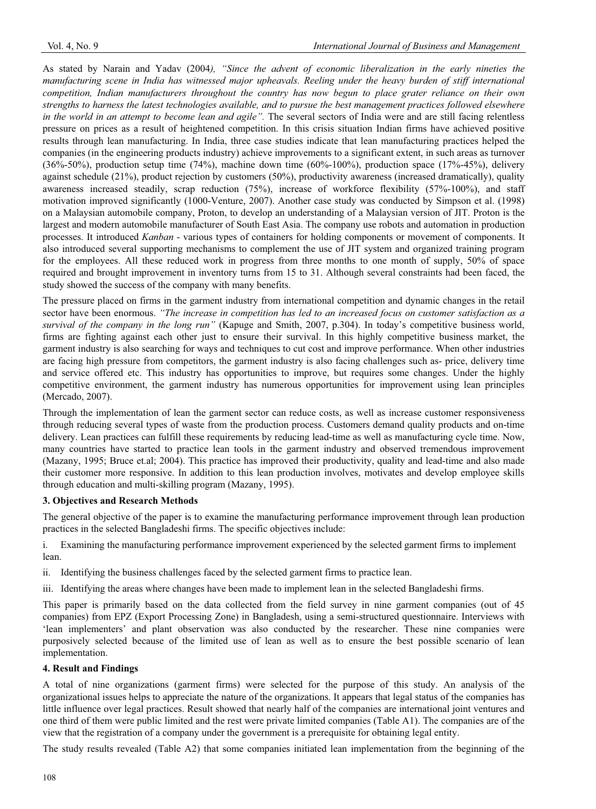As stated by Narain and Yadav (2004*), "Since the advent of economic liberalization in the early nineties the manufacturing scene in India has witnessed major upheavals. Reeling under the heavy burden of stiff international competition, Indian manufacturers throughout the country has now begun to place grater reliance on their own strengths to harness the latest technologies available, and to pursue the best management practices followed elsewhere in the world in an attempt to become lean and agile".* The several sectors of India were and are still facing relentless pressure on prices as a result of heightened competition. In this crisis situation Indian firms have achieved positive results through lean manufacturing. In India, three case studies indicate that lean manufacturing practices helped the companies (in the engineering products industry) achieve improvements to a significant extent, in such areas as turnover (36%-50%), production setup time (74%), machine down time (60%-100%), production space (17%-45%), delivery against schedule (21%), product rejection by customers (50%), productivity awareness (increased dramatically), quality awareness increased steadily, scrap reduction (75%), increase of workforce flexibility (57%-100%), and staff motivation improved significantly (1000-Venture, 2007). Another case study was conducted by Simpson et al. (1998) on a Malaysian automobile company, Proton, to develop an understanding of a Malaysian version of JIT. Proton is the largest and modern automobile manufacturer of South East Asia. The company use robots and automation in production processes. It introduced *Kanban* - various types of containers for holding components or movement of components. It also introduced several supporting mechanisms to complement the use of JIT system and organized training program for the employees. All these reduced work in progress from three months to one month of supply, 50% of space required and brought improvement in inventory turns from 15 to 31. Although several constraints had been faced, the study showed the success of the company with many benefits.

The pressure placed on firms in the garment industry from international competition and dynamic changes in the retail sector have been enormous. *"The increase in competition has led to an increased focus on customer satisfaction as a survival of the company in the long run"* (Kapuge and Smith, 2007, p.304). In today's competitive business world, firms are fighting against each other just to ensure their survival. In this highly competitive business market, the garment industry is also searching for ways and techniques to cut cost and improve performance. When other industries are facing high pressure from competitors, the garment industry is also facing challenges such as- price, delivery time and service offered etc. This industry has opportunities to improve, but requires some changes. Under the highly competitive environment, the garment industry has numerous opportunities for improvement using lean principles (Mercado, 2007).

Through the implementation of lean the garment sector can reduce costs, as well as increase customer responsiveness through reducing several types of waste from the production process. Customers demand quality products and on-time delivery. Lean practices can fulfill these requirements by reducing lead-time as well as manufacturing cycle time. Now, many countries have started to practice lean tools in the garment industry and observed tremendous improvement (Mazany, 1995; Bruce et.al; 2004). This practice has improved their productivity, quality and lead-time and also made their customer more responsive. In addition to this lean production involves, motivates and develop employee skills through education and multi-skilling program (Mazany, 1995).

# **3. Objectives and Research Methods**

The general objective of the paper is to examine the manufacturing performance improvement through lean production practices in the selected Bangladeshi firms. The specific objectives include:

i. Examining the manufacturing performance improvement experienced by the selected garment firms to implement lean.

ii. Identifying the business challenges faced by the selected garment firms to practice lean.

iii. Identifying the areas where changes have been made to implement lean in the selected Bangladeshi firms.

This paper is primarily based on the data collected from the field survey in nine garment companies (out of 45 companies) from EPZ (Export Processing Zone) in Bangladesh, using a semi-structured questionnaire. Interviews with 'lean implementers' and plant observation was also conducted by the researcher. These nine companies were purposively selected because of the limited use of lean as well as to ensure the best possible scenario of lean implementation.

#### **4. Result and Findings**

A total of nine organizations (garment firms) were selected for the purpose of this study. An analysis of the organizational issues helps to appreciate the nature of the organizations. It appears that legal status of the companies has little influence over legal practices. Result showed that nearly half of the companies are international joint ventures and one third of them were public limited and the rest were private limited companies (Table A1). The companies are of the view that the registration of a company under the government is a prerequisite for obtaining legal entity.

The study results revealed (Table A2) that some companies initiated lean implementation from the beginning of the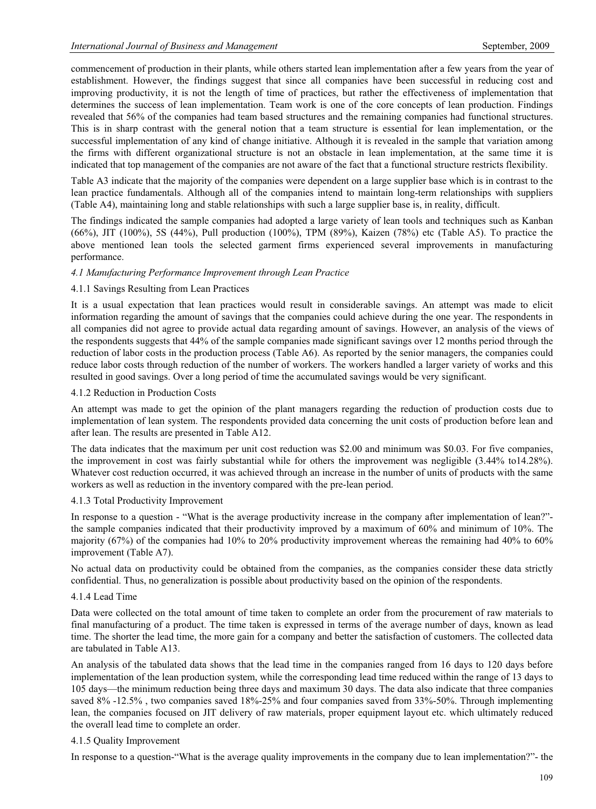commencement of production in their plants, while others started lean implementation after a few years from the year of establishment. However, the findings suggest that since all companies have been successful in reducing cost and improving productivity, it is not the length of time of practices, but rather the effectiveness of implementation that determines the success of lean implementation. Team work is one of the core concepts of lean production. Findings revealed that 56% of the companies had team based structures and the remaining companies had functional structures. This is in sharp contrast with the general notion that a team structure is essential for lean implementation, or the successful implementation of any kind of change initiative. Although it is revealed in the sample that variation among the firms with different organizational structure is not an obstacle in lean implementation, at the same time it is indicated that top management of the companies are not aware of the fact that a functional structure restricts flexibility.

Table A3 indicate that the majority of the companies were dependent on a large supplier base which is in contrast to the lean practice fundamentals. Although all of the companies intend to maintain long-term relationships with suppliers (Table A4), maintaining long and stable relationships with such a large supplier base is, in reality, difficult.

The findings indicated the sample companies had adopted a large variety of lean tools and techniques such as Kanban (66%), JIT (100%), 5S (44%), Pull production (100%), TPM (89%), Kaizen (78%) etc (Table A5). To practice the above mentioned lean tools the selected garment firms experienced several improvements in manufacturing performance.

#### *4.1 Manufacturing Performance Improvement through Lean Practice*

#### 4.1.1 Savings Resulting from Lean Practices

It is a usual expectation that lean practices would result in considerable savings. An attempt was made to elicit information regarding the amount of savings that the companies could achieve during the one year. The respondents in all companies did not agree to provide actual data regarding amount of savings. However, an analysis of the views of the respondents suggests that 44% of the sample companies made significant savings over 12 months period through the reduction of labor costs in the production process (Table A6). As reported by the senior managers, the companies could reduce labor costs through reduction of the number of workers. The workers handled a larger variety of works and this resulted in good savings. Over a long period of time the accumulated savings would be very significant.

#### 4.1.2 Reduction in Production Costs

An attempt was made to get the opinion of the plant managers regarding the reduction of production costs due to implementation of lean system. The respondents provided data concerning the unit costs of production before lean and after lean. The results are presented in Table A12.

The data indicates that the maximum per unit cost reduction was \$2.00 and minimum was \$0.03. For five companies, the improvement in cost was fairly substantial while for others the improvement was negligible (3.44% to14.28%). Whatever cost reduction occurred, it was achieved through an increase in the number of units of products with the same workers as well as reduction in the inventory compared with the pre-lean period.

#### 4.1.3 Total Productivity Improvement

In response to a question - "What is the average productivity increase in the company after implementation of lean?" the sample companies indicated that their productivity improved by a maximum of 60% and minimum of 10%. The majority (67%) of the companies had 10% to 20% productivity improvement whereas the remaining had 40% to 60% improvement (Table A7).

No actual data on productivity could be obtained from the companies, as the companies consider these data strictly confidential. Thus, no generalization is possible about productivity based on the opinion of the respondents.

#### 4.1.4 Lead Time

Data were collected on the total amount of time taken to complete an order from the procurement of raw materials to final manufacturing of a product. The time taken is expressed in terms of the average number of days, known as lead time. The shorter the lead time, the more gain for a company and better the satisfaction of customers. The collected data are tabulated in Table A13.

An analysis of the tabulated data shows that the lead time in the companies ranged from 16 days to 120 days before implementation of the lean production system, while the corresponding lead time reduced within the range of 13 days to 105 days—the minimum reduction being three days and maximum 30 days. The data also indicate that three companies saved 8% -12.5% , two companies saved 18%-25% and four companies saved from 33%-50%. Through implementing lean, the companies focused on JIT delivery of raw materials, proper equipment layout etc. which ultimately reduced the overall lead time to complete an order.

#### 4.1.5 Quality Improvement

In response to a question-"What is the average quality improvements in the company due to lean implementation?"- the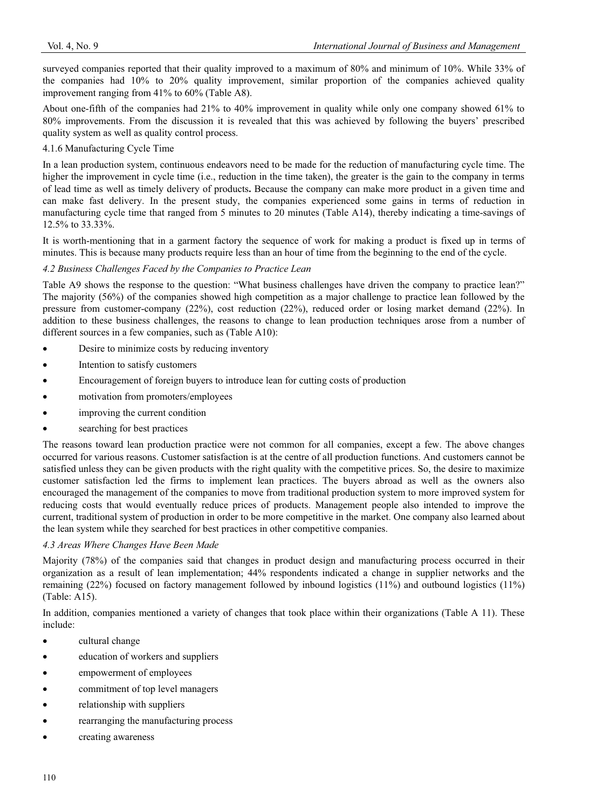surveyed companies reported that their quality improved to a maximum of 80% and minimum of 10%. While 33% of the companies had 10% to 20% quality improvement, similar proportion of the companies achieved quality improvement ranging from 41% to 60% (Table A8).

About one-fifth of the companies had 21% to 40% improvement in quality while only one company showed 61% to 80% improvements. From the discussion it is revealed that this was achieved by following the buyers' prescribed quality system as well as quality control process.

## 4.1.6 Manufacturing Cycle Time

In a lean production system, continuous endeavors need to be made for the reduction of manufacturing cycle time. The higher the improvement in cycle time (i.e., reduction in the time taken), the greater is the gain to the company in terms of lead time as well as timely delivery of products**.** Because the company can make more product in a given time and can make fast delivery. In the present study, the companies experienced some gains in terms of reduction in manufacturing cycle time that ranged from 5 minutes to 20 minutes (Table A14), thereby indicating a time-savings of 12.5% to 33.33%.

It is worth-mentioning that in a garment factory the sequence of work for making a product is fixed up in terms of minutes. This is because many products require less than an hour of time from the beginning to the end of the cycle.

#### *4.2 Business Challenges Faced by the Companies to Practice Lean*

Table A9 shows the response to the question: "What business challenges have driven the company to practice lean?" The majority (56%) of the companies showed high competition as a major challenge to practice lean followed by the pressure from customer-company (22%), cost reduction (22%), reduced order or losing market demand (22%). In addition to these business challenges, the reasons to change to lean production techniques arose from a number of different sources in a few companies, such as (Table A10):

- $\bullet$ Desire to minimize costs by reducing inventory
- $\bullet$ Intention to satisfy customers
- $\bullet$ Encouragement of foreign buyers to introduce lean for cutting costs of production
- $\bullet$ motivation from promoters/employees
- $\bullet$ improving the current condition
- $\bullet$ searching for best practices

The reasons toward lean production practice were not common for all companies, except a few. The above changes occurred for various reasons. Customer satisfaction is at the centre of all production functions. And customers cannot be satisfied unless they can be given products with the right quality with the competitive prices. So, the desire to maximize customer satisfaction led the firms to implement lean practices. The buyers abroad as well as the owners also encouraged the management of the companies to move from traditional production system to more improved system for reducing costs that would eventually reduce prices of products. Management people also intended to improve the current, traditional system of production in order to be more competitive in the market. One company also learned about the lean system while they searched for best practices in other competitive companies.

# *4.3 Areas Where Changes Have Been Made*

Majority (78%) of the companies said that changes in product design and manufacturing process occurred in their organization as a result of lean implementation; 44% respondents indicated a change in supplier networks and the remaining (22%) focused on factory management followed by inbound logistics (11%) and outbound logistics (11%) (Table: A15).

In addition, companies mentioned a variety of changes that took place within their organizations (Table A 11). These include:

- $\bullet$ cultural change
- $\bullet$ education of workers and suppliers
- $\bullet$ empowerment of employees
- $\bullet$ commitment of top level managers
- $\bullet$ relationship with suppliers
- $\bullet$ rearranging the manufacturing process
- $\bullet$ creating awareness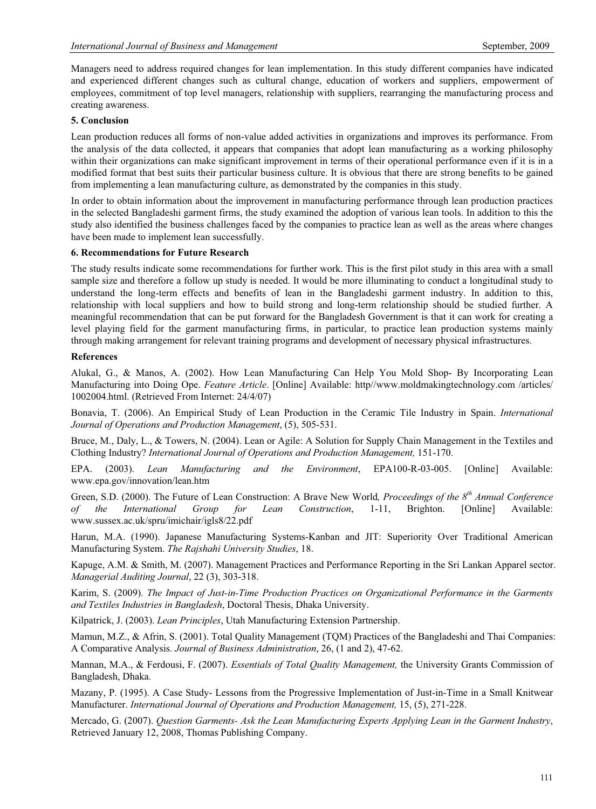Managers need to address required changes for lean implementation. In this study different companies have indicated and experienced different changes such as cultural change, education of workers and suppliers, empowerment of employees, commitment of top level managers, relationship with suppliers, rearranging the manufacturing process and creating awareness.

## **5. Conclusion**

Lean production reduces all forms of non-value added activities in organizations and improves its performance. From the analysis of the data collected, it appears that companies that adopt lean manufacturing as a working philosophy within their organizations can make significant improvement in terms of their operational performance even if it is in a modified format that best suits their particular business culture. It is obvious that there are strong benefits to be gained from implementing a lean manufacturing culture, as demonstrated by the companies in this study.

In order to obtain information about the improvement in manufacturing performance through lean production practices in the selected Bangladeshi garment firms, the study examined the adoption of various lean tools. In addition to this the study also identified the business challenges faced by the companies to practice lean as well as the areas where changes have been made to implement lean successfully.

#### **6. Recommendations for Future Research**

The study results indicate some recommendations for further work. This is the first pilot study in this area with a small sample size and therefore a follow up study is needed. It would be more illuminating to conduct a longitudinal study to understand the long-term effects and benefits of lean in the Bangladeshi garment industry. In addition to this, relationship with local suppliers and how to build strong and long-term relationship should be studied further. A meaningful recommendation that can be put forward for the Bangladesh Government is that it can work for creating a level playing field for the garment manufacturing firms, in particular, to practice lean production systems mainly through making arrangement for relevant training programs and development of necessary physical infrastructures.

#### **References**

Alukal, G., & Manos, A. (2002). How Lean Manufacturing Can Help You Mold Shop- By Incorporating Lean Manufacturing into Doing Ope. *Feature Article*. [Online] Available: http//www.moldmakingtechnology.com /articles/ 1002004.html. (Retrieved From Internet: 24/4/07)

Bonavia, T. (2006). An Empirical Study of Lean Production in the Ceramic Tile Industry in Spain. *International Journal of Operations and Production Management*, (5), 505-531.

Bruce, M., Daly, L., & Towers, N. (2004). Lean or Agile: A Solution for Supply Chain Management in the Textiles and Clothing Industry? *International Journal of Operations and Production Management,* 151-170.

EPA. (2003). *Lean Manufacturing and the Environment*, EPA100-R-03-005. [Online] Available: www.epa.gov/innovation/lean.htm

Green, S.D. (2000). The Future of Lean Construction: A Brave New World*, Proceedings of the 8th Annual Conference of the International Group for Lean Construction*, 1-11, Brighton. [Online] Available: www.sussex.ac.uk/spru/imichair/igls8/22.pdf

Harun, M.A. (1990). Japanese Manufacturing Systems-Kanban and JIT: Superiority Over Traditional American Manufacturing System. *The Rajshahi University Studies*, 18.

Kapuge, A.M. & Smith, M. (2007). Management Practices and Performance Reporting in the Sri Lankan Apparel sector. *Managerial Auditing Journal*, 22 (3), 303-318.

Karim, S. (2009). *The Impact of Just-in-Time Production Practices on Organizational Performance in the Garments and Textiles Industries in Bangladesh*, Doctoral Thesis, Dhaka University.

Kilpatrick, J. (2003). *Lean Principles*, Utah Manufacturing Extension Partnership.

Mamun, M.Z., & Afrin, S. (2001). Total Quality Management (TQM) Practices of the Bangladeshi and Thai Companies: A Comparative Analysis. *Journal of Business Administration*, 26, (1 and 2), 47-62.

Mannan, M.A., & Ferdousi, F. (2007). *Essentials of Total Quality Management,* the University Grants Commission of Bangladesh, Dhaka.

Mazany, P. (1995). A Case Study- Lessons from the Progressive Implementation of Just-in-Time in a Small Knitwear Manufacturer. *International Journal of Operations and Production Management*, 15, (5), 271-228.

Mercado, G. (2007). *Question Garments- Ask the Lean Manufacturing Experts Applying Lean in the Garment Industry*, Retrieved January 12, 2008, Thomas Publishing Company.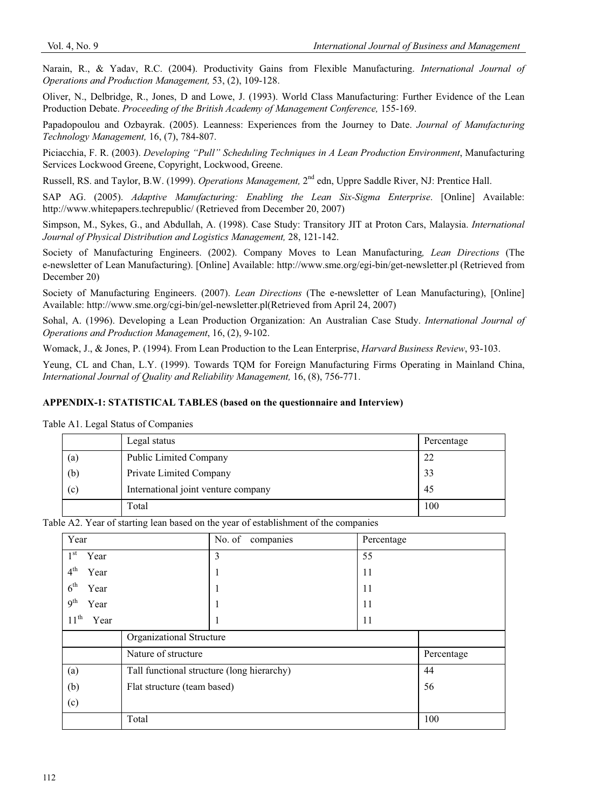Narain, R., & Yadav, R.C. (2004). Productivity Gains from Flexible Manufacturing. *International Journal of Operations and Production Management,* 53, (2), 109-128.

Oliver, N., Delbridge, R., Jones, D and Lowe, J. (1993). World Class Manufacturing: Further Evidence of the Lean Production Debate. *Proceeding of the British Academy of Management Conference,* 155-169.

Papadopoulou and Ozbayrak. (2005). Leanness: Experiences from the Journey to Date. *Journal of Manufacturing Technology Management,* 16, (7), 784-807.

Piciacchia, F. R. (2003). *Developing "Pull" Scheduling Techniques in A Lean Production Environment*, Manufacturing Services Lockwood Greene, Copyright, Lockwood, Greene.

Russell, RS. and Taylor, B.W. (1999). *Operations Management,* 2nd edn, Uppre Saddle River, NJ: Prentice Hall.

SAP AG. (2005). *Adaptive Manufacturing: Enabling the Lean Six-Sigma Enterprise*. [Online] Available: http://www.whitepapers.techrepublic/ (Retrieved from December 20, 2007)

Simpson, M., Sykes, G., and Abdullah, A. (1998). Case Study: Transitory JIT at Proton Cars, Malaysia. *International Journal of Physical Distribution and Logistics Management,* 28, 121-142.

Society of Manufacturing Engineers. (2002). Company Moves to Lean Manufacturing*, Lean Directions* (The e-newsletter of Lean Manufacturing). [Online] Available: http://www.sme.org/egi-bin/get-newsletter.pl (Retrieved from December 20)

Society of Manufacturing Engineers. (2007). *Lean Directions* (The e-newsletter of Lean Manufacturing), [Online] Available: http://www.sme.org/cgi-bin/gel-newsletter.pl(Retrieved from April 24, 2007)

Sohal, A. (1996). Developing a Lean Production Organization: An Australian Case Study. *International Journal of Operations and Production Management*, 16, (2), 9-102.

Womack, J., & Jones, P. (1994). From Lean Production to the Lean Enterprise, *Harvard Business Review*, 93-103.

Yeung, CL and Chan, L.Y. (1999). Towards TQM for Foreign Manufacturing Firms Operating in Mainland China, *International Journal of Quality and Reliability Management,* 16, (8), 756-771.

#### **APPENDIX-1: STATISTICAL TABLES (based on the questionnaire and Interview)**

Table A1. Legal Status of Companies

|     | Legal status                        | Percentage |
|-----|-------------------------------------|------------|
| (a) | <b>Public Limited Company</b>       | 22         |
| (b) | Private Limited Company             | 33         |
| (c) | International joint venture company |            |
|     | Total                               | 100        |

Table A2. Year of starting lean based on the year of establishment of the companies

| Year                               |                          | No. of companies                           | Percentage |            |
|------------------------------------|--------------------------|--------------------------------------------|------------|------------|
| 1 <sup>st</sup><br>Year            |                          | 3                                          | 55         |            |
| 4 <sup>th</sup><br>Year            |                          | 1                                          | 11         |            |
| 6 <sup>th</sup><br>Year            |                          | 1                                          | 11         |            |
| 9 <sup>th</sup><br>Year            |                          | 1                                          | 11         |            |
| $11^{\text{th}}$<br>Year           |                          | 1                                          | 11         |            |
|                                    | Organizational Structure |                                            |            |            |
|                                    | Nature of structure      |                                            |            | Percentage |
| (a)                                |                          | Tall functional structure (long hierarchy) |            | 44         |
| (b)<br>Flat structure (team based) |                          |                                            |            | 56         |
| (c)                                |                          |                                            |            |            |
|                                    | Total                    |                                            |            | 100        |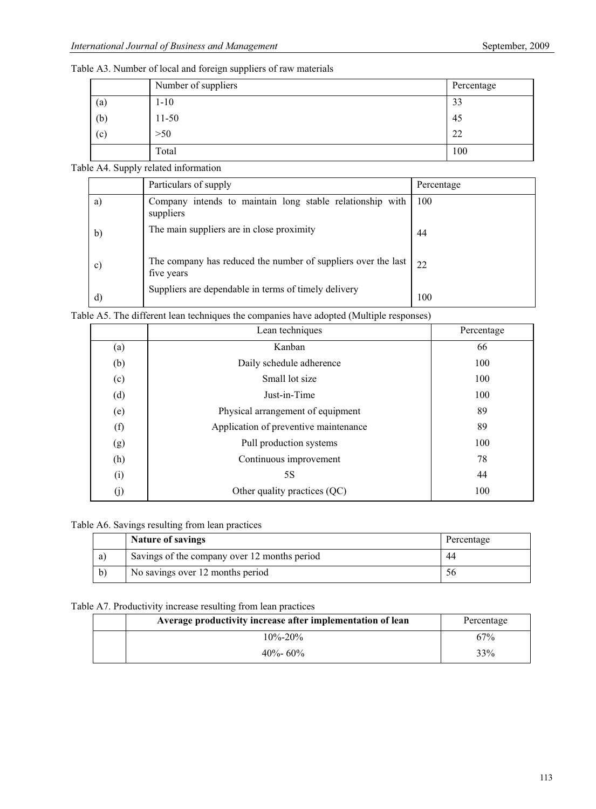# Table A3. Number of local and foreign suppliers of raw materials

|     | Number of suppliers | Percentage |
|-----|---------------------|------------|
| (a) | $1 - 10$            | 33         |
| (b) | $11-50$             | 45         |
| (c) | >50                 | 22         |
|     | Total               | 100        |

Table A4. Supply related information

|    | Particulars of supply                                                       | Percentage |
|----|-----------------------------------------------------------------------------|------------|
| a) | Company intends to maintain long stable relationship with<br>suppliers      | 100        |
| b) | The main suppliers are in close proximity                                   | 44         |
| c) | The company has reduced the number of suppliers over the last<br>five years | 22         |
| d) | Suppliers are dependable in terms of timely delivery                        | 100        |

Table A5. The different lean techniques the companies have adopted (Multiple responses)

|          | Lean techniques                       | Percentage |
|----------|---------------------------------------|------------|
| (a)      | Kanban                                | 66         |
| (b)      | Daily schedule adherence              | 100        |
| (c)      | Small lot size                        | 100        |
| (d)      | Just-in-Time                          | 100        |
| (e)      | Physical arrangement of equipment     | 89         |
| (f)      | Application of preventive maintenance | 89         |
| (g)      | Pull production systems               | 100        |
| (h)      | Continuous improvement                | 78         |
| (i)      | 5S                                    | 44         |
| $_{(1)}$ | Other quality practices (QC)          | 100        |

Table A6. Savings resulting from lean practices

|              | <b>Nature of savings</b>                     | Percentage |
|--------------|----------------------------------------------|------------|
| a)           | Savings of the company over 12 months period | 44         |
| $\mathbf{b}$ | No savings over 12 months period             | ЭC         |

#### Table A7. Productivity increase resulting from lean practices

| Average productivity increase after implementation of lean | Percentage |
|------------------------------------------------------------|------------|
| $10\% - 20\%$                                              | 67%        |
| $40\% - 60\%$                                              | 33%        |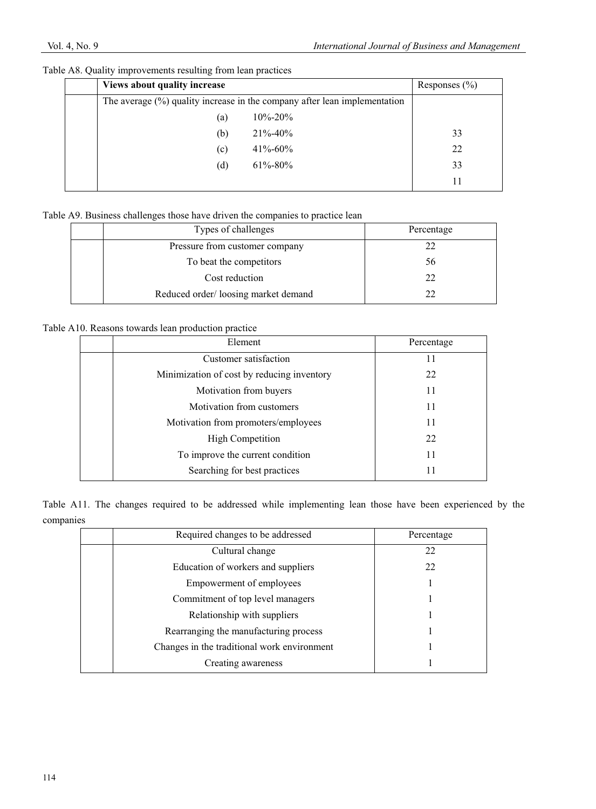| Views about quality increase |                                                                              | Responses $(\% )$ |
|------------------------------|------------------------------------------------------------------------------|-------------------|
|                              | The average $(\%)$ quality increase in the company after lean implementation |                   |
| (a)                          | $10\% - 20\%$                                                                |                   |
| (b)                          | $21\% - 40\%$                                                                | 33                |
| (c)                          | $41\% - 60\%$                                                                | 22                |
| (d)                          | $61\% - 80\%$                                                                | 33                |
|                              |                                                                              |                   |

## Table A8. Quality improvements resulting from lean practices

# Table A9. Business challenges those have driven the companies to practice lean

| Types of challenges                 | Percentage |
|-------------------------------------|------------|
| Pressure from customer company      |            |
| To beat the competitors             | 56         |
| Cost reduction                      |            |
| Reduced order/loosing market demand |            |

# Table A10. Reasons towards lean production practice

| Element                                    | Percentage |
|--------------------------------------------|------------|
| Customer satisfaction                      | 11         |
| Minimization of cost by reducing inventory | 22         |
| Motivation from buyers                     | 11         |
| Motivation from customers                  | 11         |
| Motivation from promoters/employees        | 11         |
| <b>High Competition</b>                    | 22         |
| To improve the current condition           | 11         |
| Searching for best practices               | 11         |

Table A11. The changes required to be addressed while implementing lean those have been experienced by the companies

| Required changes to be addressed            | Percentage |
|---------------------------------------------|------------|
| Cultural change                             | 22         |
| Education of workers and suppliers          | 22         |
| <b>Empowerment of employees</b>             |            |
| Commitment of top level managers            |            |
| Relationship with suppliers                 |            |
| Rearranging the manufacturing process       |            |
| Changes in the traditional work environment |            |
| Creating awareness                          |            |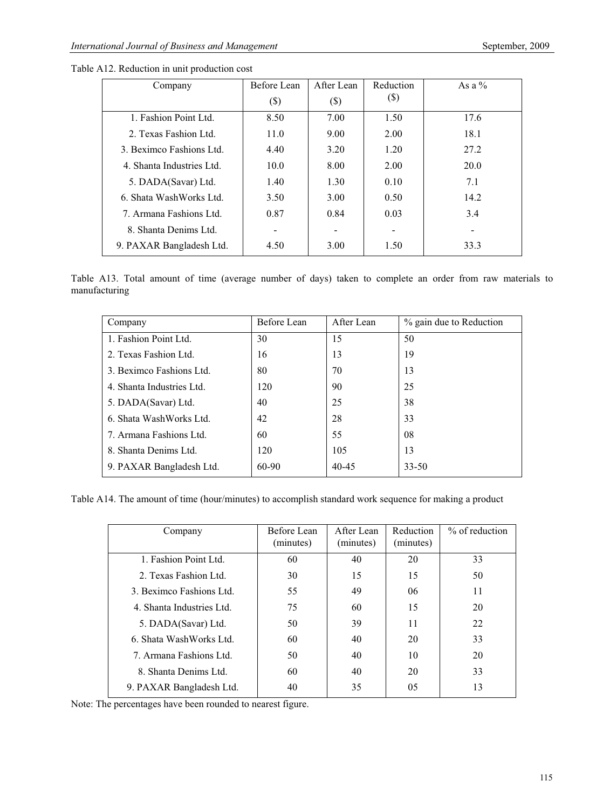| Company                   | Before Lean | After Lean | Reduction                 | As a $\%$ |
|---------------------------|-------------|------------|---------------------------|-----------|
|                           | $(\$\)$     | $(\$)$     | $\left( \text{\$}\right)$ |           |
| 1. Fashion Point Ltd.     | 8.50        | 7.00       | 1.50                      | 17.6      |
| 2. Texas Fashion Ltd.     | 11.0        | 9.00       | 2.00                      | 18.1      |
| 3. Beximco Fashions Ltd.  | 4.40        | 3.20       | 1.20                      | 27.2      |
| 4. Shanta Industries Ltd. | 10.0        | 8.00       | 2.00                      | 20.0      |
| 5. DADA(Savar) Ltd.       | 1.40        | 1.30       | 0.10                      | 7.1       |
| 6. Shata WashWorks Ltd.   | 3.50        | 3.00       | 0.50                      | 14.2      |
| 7. Armana Fashions Ltd.   | 0.87        | 0.84       | 0.03                      | 3.4       |
| 8. Shanta Denims Ltd.     |             |            |                           |           |
| 9. PAXAR Bangladesh Ltd.  | 4.50        | 3.00       | 1.50                      | 33.3      |

Table A12. Reduction in unit production cost

Table A13. Total amount of time (average number of days) taken to complete an order from raw materials to manufacturing

| Company                   | Before Lean | After Lean | % gain due to Reduction |
|---------------------------|-------------|------------|-------------------------|
| 1. Fashion Point Ltd.     | 30          | 15         | 50                      |
| 2. Texas Fashion Ltd.     | 16          | 13         | 19                      |
| 3. Beximco Fashions Ltd.  | 80          | 70         | 13                      |
| 4. Shanta Industries Ltd. | 120         | 90         | 25                      |
| 5. DADA(Savar) Ltd.       | 40          | 25         | 38                      |
| 6. Shata WashWorks Ltd.   | 42          | 28         | 33                      |
| 7. Armana Fashions Ltd.   | 60          | 55         | 08                      |
| 8. Shanta Denims Ltd.     | 120         | 105        | 13                      |
| 9. PAXAR Bangladesh Ltd.  | 60-90       | 40-45      | $33 - 50$               |

Table A14. The amount of time (hour/minutes) to accomplish standard work sequence for making a product

| Company                   | Before Lean<br>(minutes) | After Lean<br>(minutes) | Reduction<br>(minutes) | $%$ of reduction |
|---------------------------|--------------------------|-------------------------|------------------------|------------------|
| 1. Fashion Point Ltd.     | 60                       | 40                      | 20                     | 33               |
| 2. Texas Fashion Ltd.     | 30                       | 15                      | 15                     | 50               |
| 3. Beximco Fashions Ltd.  | 55                       | 49                      | 06                     | 11               |
| 4. Shanta Industries Ltd. | 75                       | 60                      | 15                     | 20               |
| 5. DADA(Savar) Ltd.       | 50                       | 39                      | 11                     | 22               |
| 6. Shata WashWorks Ltd.   | 60                       | 40                      | 20                     | 33               |
| 7. Armana Fashions Ltd.   | 50                       | 40                      | 10                     | 20               |
| 8. Shanta Denims Ltd.     | 60                       | 40                      | 20                     | 33               |
| 9. PAXAR Bangladesh Ltd.  | 40                       | 35                      | 05                     | 13               |

Note: The percentages have been rounded to nearest figure.